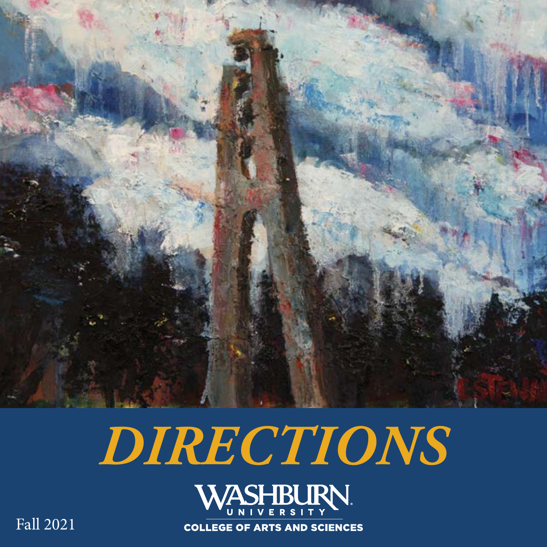

# *DIRECTIONS*



**COLLEGE OF ARTS AND SCIENCES** 

Fall 2021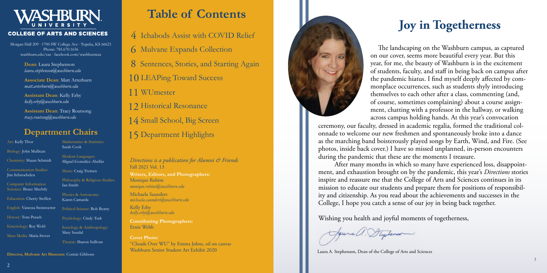#### **COLLEGE OF ARTS AND SCIENCES**

Fall 2021 Vol. 13 *Directions is a publication for Alumni & Friends*

**Writers, Editors, and Photographers:** Monique Robins *monique.robins@washburn.edu*

Michaela Saunders *michaela.saunders@washburn.edu*

Kelly Erby *kelly.erby@washburn.edu*

**Contributing Photographers:** Ernie Webb

**Cover Photo:** "Clouds Over WU" by Emma Johns, oil on canvas Washburn Senior Student Art Exhibit 2020

Jaurell. Stephense

Mathematics & Statistics: Sarah Cook

Morgan Hall 209 ∙ 1700 SW College Ave ∙ Topeka, KS 66621 Phone: 785.670.1636 washburn.edu/cas ∙ facebook.com/washburncas

### **Department Chairs**

**Director, Mulvane Art Museum:** Connie Gibbons

Art: Kelly Thor Biology: John Mullican Chemistry: Shaun Schmidt Communication Studies: Jim Schnoebelen Computer Information Sciences: Bruce Mechtly Education: Cherry Steffen History: Tom Prasch Kinesiology: Roy Wohl Mass Media: Maria Stover

English: Vanessa Steinroetter Political Science: Bob Beatty

Modern Languages: Miguel González-Abellás

Music: Craig Treinen

Philosophy & Religious Studies: Ian Smith

Physics & Astronomy: Karen Camarda

Psychology: Cindy Turk

Sociology & Anthropology: Mary Sundal

Theatre: Sharon Sullivan

**Dean**: Laura Stephenson *laura.stephenson@washburn.edu*

**Associate Dean**: Matt Arterburn *matt.arterburn@washburn.edu*

**Assistant Dean**: Kelly Erby *kelly.erby@washburn.edu*

**Assistant Dean**: Tracy Routsong *tracy.routsong@washburn.edu*

### **Table of Contents**

## **Joy in Togetherness**

The landscaping on the Washburn campus, as captured on our cover, seems more beautiful every year. But this year, for me, the beauty of Washburn is in the excitement of students, faculty, and staff in being back on campus after the pandemic hiatus. I find myself deeply affected by commonplace occurrences, such as students shyly introducing themselves to each other after a class, commenting (and, of course, sometimes complaining) about a course assignment, chatting with a professor in the hallway, or walking across campus holding hands. At this year's convocation ceremony, our faculty, dressed in academic regalia, formed the traditional colonnade to welcome our new freshmen and spontaneously broke into a dance as the marching band boisterously played songs by Earth, Wind, and Fire. (See photos, inside back cover.) I have so missed unplanned, in-person encounters during the pandemic that these are the moments I treasure.

- 4 Ichabods Assist with COVID Relief
- 6 Mulvane Expands Collection
- 8 Sentences, Stories, and Starting Again
- 10 LEAPing Toward Success
- 11 WUmester
- 12 Historical Resonance
- 14 Small School, Big Screen
- 15 Department Highlights

 After many months in which so many have experienced loss, disappointment, and exhaustion brought on by the pandemic, this year's *Directions* stories inspire and reassure me that the College of Arts and Sciences continues in its mission to educate our students and prepare them for positions of responsibility and citizenship. As you read about the achievements and successes in the College, I hope you catch a sense of our joy in being back together.

Wishing you health and joyful moments of togetherness,

Laura A. Stephenson, Dean of the College of Arts and Sciences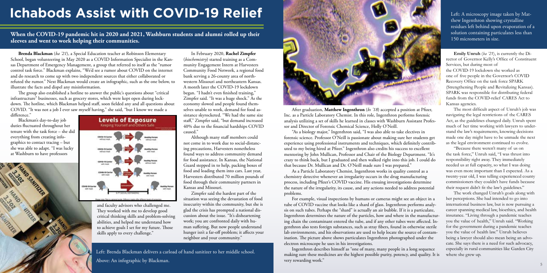## **Ichabods Assist with COVID-19 Relief**

Left: Brenda Blackman delivers a carload of hand sanitizer to her middle school.

Left: A microscopy image taken by Matthew Ingenthron showing crystalline residues left behind upon evaporation of a solution containing particulates less than

150 micrometers in size. **When the COVID-19 pandemic hit in 2020 and 2021, Washburn students and alumni rolled up their 150 micrometers** in size. **sleeves and went to work helping their communities.** 

> In February 2020, **Rachel Zimpfer** (*biochemistry*) started training as a Community Engagement Intern at Harvesters Community Food Network, a regional food bank serving a 26-county area of northwestern Missouri and northeastern Kansas. A month later the COVID-19 lockdown began. "I hadn't even finished training," Zimpfer said. "It was a huge shock." As the economy slowed and people found themselves unable to work, demand for food assistance skyrocketed. "We had the same size staff," Zimpfer said, "but demand increased 40% due to the financial hardships COVID

caused."

Although many staff members could not come in to work due to social-distancing precautions, Harvesters nonetheless found ways to address community demand for food assistance. In Kansas, the National Guard stepped in to help, packing boxes of food and loading them into cars. Last year, Harvesters distributed 70 million pounds of food through their community partners in

Kansas and Missouri.

Zimpfer said the hardest part of the situation was seeing the devastation of food insecurity within the community, but she is glad the crisis has prompted a national discussion about the issue. "It's disheartening work; you are confronted daily with human suffering. But now people understand hunger isn't a far-off problem; it affects your



neighbor and your community."

**Brenda Blackman** (*ba '21*), a Special Education teacher at Robinson Elementary School, began volunteering in May 2020 as a COVID Information Specialist in the Kansas Department of Emergency Management, a group that referred to itself as the "rumor control task force." Blackman explains, "We'd see a rumor about COVID on the internet and do research to come up with two independent sources that either collaborated or refuted the rumor." Next Blackman would create an infographic, such as the one below, to illustrate the facts and dispel any misinformation.

Above: An infographic by Blackman. The contract of the contract of the contract of the contract of the contract of the contract of the contract of the contract of the contract of the contract of the contract of the contrac Ingenthron describes himself as "one of many, many people in a long sequence making sure these medicines are the highest possible purity, potency, and quality. It is very rewarding work."

The group also established a hotline to answer the public's questions about "critical infrastructure" businesses, such as grocery stores, which were kept open during lockdown. The hotline, which Blackman helped staff, soon fielded any and all questions about COVID. "It was not a job I ever saw myself having," she said, "but I know we made a difference."

After graduation, **Matthew Ingenthron** (*bs '18*) accepted a position at Pfizer, Inc. as a Particle Laboratory Chemist. In this role, Ingenthron performs forensic analysis utilizing a set of skills he learned in classes with Washburn Assistant Professor and Director of Forensic Chemical Science, Holly O'Neill.

"As a biology major," Ingenthron said, "I was also able to take electives in forensic science. Professor O'Neill is passionate about making sure her students get experience using professional instruments and techniques, which definitely contributed to my being hired at Pfizer." Ingenthron also credits his success to excellent mentoring by John Mullican, Professor and Chair of the Biology Department. "It's crazy to think back, but I graduated and then walked right into this job. I could do that because Dr. Mullican and Dr. O'Neill made sure I was prepared."

As a Particle Laboratory Chemist, Ingenthron works in quality control as a chemistry detective whenever an irregularity occurs in the drug manufacturing process, including Pfizer's COVID vaccine. His ensuing investigations determine the nature of the irregularity, its cause, and any actions needed to address potential problems.

For example, visual inspections by humans or cameras might see an object in a tube of COVID vaccine that looks like a shard of glass. Ingenthron performs analysis on such tubes. Perhaps the "shard" is actually an air bubble. If it is a particulate, Ingenthron determines the nature of the particles, how and where in the manufacturing chain the contaminant entered the tube, and if any other tubes were affected. Ingenthron also tests foreign substances, such as stray fibers, found in otherwise sterile lab environments, and his observations are used to help locate the source of contamination. The picture above shows particulates Ingenthron photographed under the electron microscope he uses in his investigations.

**Emily Unruh** (*ba '21*), is currently the Director of Governor Kelly's Office of Constituent Services, but during most of the COVID-19 lockdown she worked as one of five people in the Governor's COVID Recovery Office on the task force SPARK (Strengthening People and Revitalizing Kansas). SPARK was responsible for distributing federal funds from the COVID-relief CARES Act to Kansas agencies.

The most difficult aspect of Unruh's job was navigating the legal restrictions of the CARES Act, as the guidelines changed daily. Unruh spent much of her time working with lawyers to understand the law's requirements, knowing decisions made one day might have to be unmade the next as the legal environment continued to evolve.

"Because there weren't many of us on the task force," Unruh said, "I was thrust into responsibility right away. They immediately needed us at full capacity, so what I was doing was even more important than I expected. As a twenty-year old, I was telling experienced county commissioners they couldn't have funds because their request didn't fit the law's guidelines."

The work changed Unruh's goals along with her perceptions. She had intended to go into international business law, but is now pursuing a career spanning medical law, bioethics, and health insurance. "Living through a pandemic teaches you the value of health," Unruh said. "Working for the government during a pandemic teaches you the value of health law." Unruh believes being a lawyer should also mean being an advocate. She says there is a need for such advocacy, especially in rural communities like Garden City where she grew up.

and faculty advisors who challenged me. They worked with me to develop good critical thinking skills and problem-solving abilities, and helped me understand how to achieve goals I set for my future. Those skills apply to every challenge."

Blackman's day-to-day job duties fluctuated throughout her tenure with the task force – she did everything from creating infographics to contact tracing – but she was able to adapt. "I was lucky at Washburn to have professors



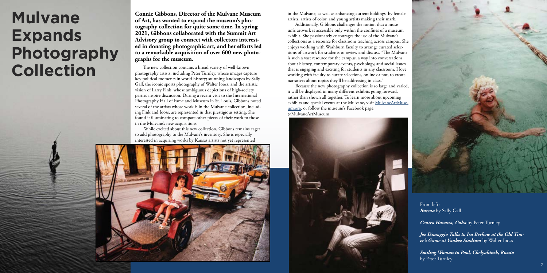

The new collection contains a broad variety of well-known photography artists, including Peter Turnley, whose images capture key political moments in world history; stunning landscapes by Sally Gall; the iconic sports photography of Walter Iooss; and the artistic vision of Larry Fink, whose ambiguous depictions of high-society parties inspire discussion. During a recent visit to the International Photography Hall of Fame and Museum in St. Louis, Gibbons noted several of the artists whose work is in the Mulvane collection, including Fink and Iooss, are represented in that prestigious setting. She found it illuminating to compare other pieces of their work to those in the Mulvane's new acquisitions.

While excited about this new collection, Gibbons remains eager to add photography to the Mulvane's inventory. She is especially interested in acquiring works by Kansas artists not yet represented

**Connie Gibbons, Director of the Mulvane Museum of Art, has wanted to expand the museum's photography collection for quite some time. In spring 2021, Gibbons collaborated with the Summit Art Advisory group to connect with collectors interested in donating photographic art, and her efforts led to a remarkable acquisition of over 600 new photographs for the museum.**

in the Mulvane, as well as enhancing current holdings by female artists, artists of color, and young artists making their mark. Additionally, Gibbons challenges the notion that a museum's artwork is accessible only within the confines of a museum exhibit. She passionately encourages the use of the Mulvane's collections as a resource for classroom teaching across campus. She enjoys working with Washburn faculty to arrange curated selections of artwork for students to review and discuss. "The Mulvane is such a vast resource for the campus, a way into conversations about history, contemporary events, psychology, and social issues that is engaging and exciting for students in any classroom. I love working with faculty to curate selections, online or not, to create narratives about topics they'll be addressing in class."

Because the new photography collection is so large and varied, it will be displayed in many different exhibits going forward, rather than shown all together. To learn more about upcoming exhibits and special events at the Mulvane, visit [MulvaneArtMuse](http://MulvaneArtMuseum.org)[um.org,](http://MulvaneArtMuseum.org) or follow the museum's Facebook page, @MulvaneArtMuseum.





From left: *Burma* by Sally Gall

*Centro Havana, Cuba* by Peter Turnley

*Joe Dimaggio Talks to Ira Berkow at the Old Timer's Game at Yankee Stadium* by Walter Iooss

*Smiling Woman in Pool, Chelyabinsk, Russia* by Peter Turnley

# **Mulvane Expands Photography Collection**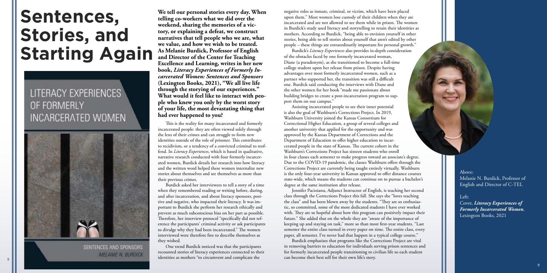# **Sentences, Stories, and Starting Again**

### LITERACY EXPERIENCES OF FORMERLY **INCARCERATED WOMEN**



SENTENCES AND SPONSORS **MELANIE N. BURDICK**  **We tell our personal stories every day. When telling co-workers what we did over the weekend, sharing the memories of a victory, or explaining a defeat, we construct narratives that tell people who we are, what we value, and how we wish to be treated. As Melanie Burdick, Professor of English and Director of the Center for Teaching Excellence and Learning, writes in her new book,** *Literacy Experiences of Formerly Incarcerated Women: Sentences and Sponsors* **(Lexington Books, 2021), "We all live life through the storying of our experiences." What would it feel like to interact with people who knew you only by the worst story of your life, the most devastating thing that had ever happened to you?**

> Above: Melanie N. Burdick, Professor of English and Director of C-TEL

Left:

Cover, *Literacy Experiences of Formerly Incarcerated Women*, Lexington Books, 2021

extended by the case of the case of the case of the case of the case of the case of the case of the case of the case of the case of the case of the case of the case of the case of the case of the case of the case of the ca One trend Burdick noticed was that the participants recounted stories of literacy experiences connected to their

This is the reality for many incarcerated and formerly incarcerated people: they are often viewed solely through the lens of their crimes and can struggle to form new identities outside of the role of prisoner. This contributes to recidivism, or a tendency of a convicted criminal to reoffend. In *Literacy Experiences*, which is based in qualitative, narrative research conducted with four formerly incarcerated women, Burdick details her research into how literacy and the written word helped these women internalize new stories about themselves and see themselves as more than their previous crimes.

Burdick asked her interviewees to tell a story of a time when they remembered reading or writing before, during, and after incarceration, and about literacy sponsors, positive and negative, who impacted their literacy. It was important to Burdick she perform her research ethically and prevent as much subconscious bias on her part as possible. Therefore, her interview protocol "specifically did not reference the participants' criminal activity or ask participants to divulge why they had been incarcerated." The women interviewed were therefore free to describe themselves as they wished.

negative roles as inmate, criminal, or victim, which have been placed upon them." Most women lose custody of their children when they are incarcerated and are not allowed to see them while in prison. The women in Burdick's study used literacy and storytelling to retain their identities as mothers. According to Burdick, "being able to envision yourself in other stories, being able to tell stories about yourself that aren't edited by other people – these things are extraordinarily important for personal growth." Burdick's *Literacy Experiences* also provides in-depth consideration

Jennifer Pacioianu, Adjunct Instructor of English, is teaching her second class through the Corrections Project this fall. She says she "loves teaching the class" and has been blown away by the students. "They are so enthusiastic, so committed, some of the most dedicated students I have ever worked with. They are so hopeful about how this program can positively impact their future." She added that on the whole they are "aware of the importance of keeping up and staying on task," more so than most first-year students. "Last semester the entire class turned in every paper on time. The entire class, every paper, all semester. I've never had that happen in a typical college course." Burdick emphasizes that programs like the Corrections Project are vital in removing barriers to education for individuals serving prison sentences and for formerly incarcerated people transitioning to civilian life so each student

in four classes each semester to make progress toward an associate's degree. Due to the COVID-19 pandemic, the classes Washburn offers through the Corrections Project are currently being taught entirely virtually. Washburn is the only four-year university in Kansas approved to offer distance courses state-wide, which means the students can continue on to pursue a bachelor's degree at the same institution after release. Assisting incarcerated people to see their inner potential is also the goal of Washburn's Corrections Project. In 2019, Washburn University joined the Kansas Consortium for Correctional Higher Education, a group of several colleges and another university that applied for the opportunity and was approved by the Kansas Department of Corrections and the Department of Education to offer higher education to incarcerated people in the state of Kansas. The current cohort in the Washburn's Corrections Project has sixteen students who enroll

can become their best self for their own life's story.

of the obstacles faced by one formerly incarcerated woman, Diane (a pseudonym), as she transitioned to become a full-time college student upon her release from prison. Despite having advantages over most formerly incarcerated women, such as a partner who supported her, the transition was still a difficult one. Burdick said conducting the interviews with Diane and the other women for her book "made me passionate about building bridges to create a post-incarceration program to support them on our campus."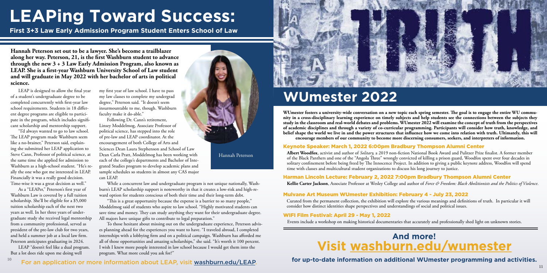10



# **LEAPing Toward Success:**

**First 3+3 Law Early Admission Program Student Enters School of Law**

LEAP is designed to allow the final year of a student's undergraduate degree to be completed concurrently with first-year law school requirements. Students in 18 different degree programs are eligible to participate in the program, which includes significant scholarship and mentorship support.

"I'd always wanted to go to law school. The LEAP program made Washburn seem like a no-brainer," Peterson said, explaining she submitted her LEAP application to Steve Cann, Professor of political science, at the same time she applied for admission to Washburn as a high-school student. "He's really the one who got me interested in LEAP. Financially it was a really good decision. Time-wise it was a great decision as well."

As a "LEAPer," Peterson's first year of Washburn Law is covered by a full tuition scholarship. She'll be eligible for a \$5,000 tuition scholarship each of the next two years as well. In her three years of undergraduate study she received legal mentorship from a community professional, served as president of the pre-law club for two years, and held a summer job at a local law firm. Peterson anticipates graduating in 2024.

LEAP "doesn't feel like a dual program. But a lot does ride upon me doing well

**Hannah Peterson set out to be a lawyer. She's become a trailblazer along her way. Peterson, 21, is the first Washburn student to advance through the new 3 + 3 Law Early Admission Program, also known as LEAP. She is a first-year Washburn University School of Law student and will graduate in May 2022 with her bachelor of arts in political science.**

#### For an application or more information about LEAP, visit [washburn.edu/LEAP.](http://washburn.edu/LEAP)

my first year of law school. I have to pass my law classes to complete my undergrad degree," Peterson said. "It doesn't seem insurmountable to me, though. Washburn faculty make it do-able."

# **WUmester 2022**

**WUmester fosters a university-wide conversation on a new topic each spring semester. The goal is to engage the entire WU community in a cross-disciplinary learning experience on timely subjects and help students see the connections between the subjects they study in the classroom and real-world debates and problems. WUmester 2022 will examine the concept of truth from the perspectives of academic disciplines and through a variety of co-curricular programming. Participants will consider how truth, knowledge, and belief shape the world we live in and the power structures that influence how we come into relation with truth. Ultimately, this will encourage members of our community to become more discerning consumers, seekers, and interpreters of information.**

#### Keynote Speaker: March 1, 2022 6:00pm Bradbury Thompson Alumni Center

#### Harman Lincoln Lecture: February 2, 2022 7:00pm Bradbury Thompson Alumni Center

#### Mulvane Art Museum WUmester Exhibition: February 4 - July 23, 2022

#### WIFI Film Festival: April 29 - May 1, 2022

**Albert Woodfox**, activist and author of *Solitary,* a 2019 non-fiction National Book Award and Pulitzer Prize finalist. A former member of the Black Panthers and one of the "Angola Three" wrongly convicted of killing a prison guard, Woodfox spent over four decades in solitary confinement before being freed by The Innocence Project. In addition to giving a public keynote address, Woodfox will spend time with classes and multicultural student organizations to discuss his long journey to justice.

Following Dr. Cann's retirement, Linsey Moddelmog, Associate Professor of political science, has stepped into the role of pre-law and LEAP coordinator. At the encouragement of both College of Arts and can LEAP. Sciences Dean Laura Stephenson and School of Law Dean Carla Pratt, Moddelmog has been working with each of the college's departments and Bachelor of Integrated Studies program to develop academic plans and sample schedules so students in almost any CAS major

> Curated from the permanent collection, the exhibition will explore the various meanings and definitions of truth. In particular it will consider how distinct identities shape perspectives and understandings of social and political issues.

Events include a workshop on making historical documentaries that accurately and professionally shed light on unknown stories.

**Kellie Carter Jackson**, Associate Professor at Wesley College and author of *Force & Freedom: Black Abolitionists and the Politics of Violence*.

### **Visit [washburn.edu/wumester](http://washburn.edu/wumester) And more!**

#### **for up-to-date information on additional WUmester programming and activities.**

#### Hannah Peterson

While a concurrent law and undergraduate program is not unique nationally, Washburn's LEAP scholarship support is noteworthy in that it creates a low-risk and high-reward option for students conscious of both their time and their long-term debt.

"This is a great opportunity because the expense is a barrier to so many people," Moddelmog said of students who aspire to law school. "Highly motivated students can save time and money. They can study anything they want for their undergraduate degree. All majors have unique gifts to contribute to legal preparation."

To those hesitant about missing out on the undergraduate experience, Peterson advises planning ahead for the experiences you want to have. "I traveled abroad, I completed internships with a lobbying firm and on a political campaign. Washburn has afforded me all of those opportunities and amazing scholarships," she said. "It's worth it 100 percent. I wish I knew more people interested in law school because I would get them into the program. What more could you ask for?"

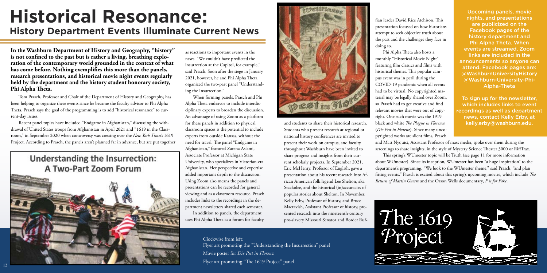

Tom Prasch, Professor and Chair of the Department of History and Geography, has been helping to organize these events since he became the faculty advisor to Phi Alpha Theta. Prasch says the goal of the programming is to add "historical resonance" to current-day issues.

Recent panel topics have included "Endgame in Afghanistan," discussing the withdrawal of United States troops from Afghanistan in April 2021 and "1619 in the Classroom," in September 2020 when controversy was cresting over the *New York Times's* 1619 Project. According to Prasch, the panels aren't planned far in advance, but are put together

### **Understanding the Insurrection: A Two-Part Zoom Forum**

**In the Washburn Department of History and Geography, "history" is not confined to the past but is rather a living, breathing exploration of the contemporary world grounded in the context of what has come before. Nothing exemplifies this more than the panels, research presentations, and historical movie night events regularly held by the department and the history student honorary society, Phi Alpha Theta.**

as reactions to important events in the news. "We couldn't have predicted the insurrection at the Capitol, for example," said Prasch. Soon after the siege in January 2021, however, he and Phi Alpha Theta organized the two-part panel "Understanding the Insurrection."

When forming panels, Prasch and Phi Alpha Theta endeavor to include interdisciplinary experts to broaden the discussion. An advantage of using Zoom as a platform for these panels in addition to physical classroom spaces is the potential to include experts from outside Kansas, without the need for travel. The panel "Endgame in Afghanistan," featured Zarena Aslami, Associate Professor at Michigan State University, who specializes in Victorian-era Afghanistan. Her perspective and expertise added important depth to the discussion. Using Zoom also means the panels and presentations can be recorded for general viewing and as a classroom resource. Prasch includes links to the recordings in the department newsletters shared each semester.

In addition to panels, the department uses Phi Alpha Theta as a forum for faculty

and students to share their historical research. Students who present research at regional or national history conferences are invited to present their work on campus, and faculty throughout Washburn have been invited to share progress and insights from their current scholarly projects. In September 2021, Eric McHenry, Professor of English, gave a presentation about his recent research into African American folk legend Lee Shelton, aka Stackolee, and the historical (in)accuracies of popular stories about Shelton. In November, Kelly Erby, Professor of history, and Bruce Mactavish, Assistant Professor of history, presented research into the nineteenth-century pro-slavery Missouri Senator and Border Ruf-

fian leader David Rice Atchison. This presentation focused on how historians attempt to seek objective truth about the past and the challenges they face in doing so.

Phi Alpha Theta also hosts a monthly "Historical Movie Night" featuring film classics and films with historical themes. This popular campus event was in peril during the COVID-19 pandemic when all events had to be virtual. No copyrighted material may be legally shared over Zoom, so Prasch had to get creative and find relevant movies that were out of copyright. One such movie was the 1919 black and white *The Plague in Florence*  (*Die Pest in Florenz*). Since many uncopyrighted works are silent films, Prasch



## **Historical Resonance: History Department Events Illuminate Current News**

Clockwise from left: Flyer art promoting the "Understanding the Insurrection" panel Movie poster for *Die Pest in Florenz* Flyer art promoting "The 1619 Project" panel



Upcoming panels, movie nights, and presentations are publicized on the Facebook pages of the history department and Phi Alpha Theta. When events are streamed, Zoom links are included in the announcements so anyone can attend. Facebook pages are: @WashburnUniversityHistory @Washburn-University-Phi-Alpha-Theta

To sign up for the newsletter, which includes links to event recordings as well as department news, contact Kelly Erby, at kelly.erby@washburn.edu.

and Matt Nyquist, Assistant Professor of mass media, spoke over them during the screenings to share insights, in the style of Mystery Science Theater 3000 or RiffTrax. This spring's WUmester topic will be Truth (see page 11 for more information about WUmester). Since its inception, WUmester has been "a huge inspiration" to the department's programing. "We look to the WUmester theme," said Prasch, "and plan fitting events." Prasch is excited about this spring's upcoming movies, which include *The Return of Martin Guerre* and the Orson Wells documentary, *F is for Fake*.

12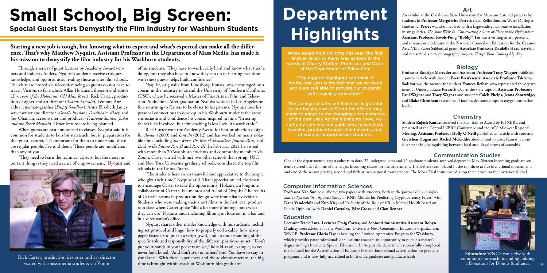One of the department's largest cohorts to date, 22 undergraduates and 12 graduate students, received degrees in May. Sixteen incoming graduate students started this fall, one of the largest incoming classes for the department. The Debate team placed in the top three at five invitational tournaments and ended the season placing second and fifth at two national tournaments. The Mock Trial team earned a top three finish on the invitational level.

#### Communication Studies

# **Department Highlights**

**Professor Rodrigo Mercader** and **Assistant Professor Tracy Wagner** published a journal article with student **Brett Breitkreutz**. **Associate Professor Takrima Sadikot** was the mentor for student **Frances Befort**, who represented the department at Undergraduate Research Day at the state capitol. **Assistant Professors Paul Wagner** and **Tracy Wagner** and students **Caleb Phelps, Jenna Shortridge,**  and **Blake Cheatham** researched if face masks cause drops in oxygen saturation levels.

#### **Chemistry**

of his students. "They have to work really hard and know what they're doing, but they also have to know they can do it. Getting face time with these guests helps build confidence."

An exhibit at the Oklahoma State University Art Museum featured projects by students in **Professor Marguerite Perret's** class, Reflections on Water During a Pandemic. **Perret** was also involved with a large-scale collaborative installation in six galleries, *The State We're In: Constructing a Sense of Place in the Hydrosphere.* **Assistant Professor Kwok-Pong "Bobby" Tso** was a visiting artist, presenter, and discussion moderator at the National Council on Education for the Ceramic Arts. Via a Sweet Sabbatical grant, **Associate Professor Danielle Head** traveled and researched a new photography project, *Things 'Bout Coming My Way.*

#### Art

Student **Rajesh Kandel** received the Star Trainee Award by K-INBRE and presented at the Central INBRE Conference and the ACS Midwest Regional Meeting. **Assistant Professor Holly O'Neill** published an article with students **Gretchen Hogan** and **Rachel McKiddie** about a tool to assist Kansas law enforcement in distinguishing between legal and illegal forms of cannabis.

**Special Guest Stars Demystify the Film Industry for Washburn Students**

**Starting a new job is tough, but knowing what to expect and what's expected can make all the difference. That's why Matthew Nyquist, Assistant Professor in the Department of Mass Media, has made it his mission to demystify the film industry for his Washburn students.**

# **Small School, Big Screen:**

Rick Carter, production designer and art director, your lane." With these experiences and the advice of veterans, the big programs and is now fully accredited at both undergraduate and graduate levels. community outreach, Nyquist shares other insider knowledge with his students, including set protocol and lingo, how to properly coil a cable, how many paper fasteners to put in a script (two), and an understanding of the specific role and responsibility of the different positions on set. "Don't put your hands in your pockets on set," he said as an example, so you never look bored. "And don't step on others' toes. You have to stay in time is brought within reach of Washburn film graduates.

Nyquist, originally from Lindsborg, Kansas, was encouraged by a cousin in the industry to attend the University of Southern California (USC), where he received a Master of Fine Arts in Film and Television Production. After graduation Nyquist worked in Los Angeles before returning to Kansas to be closer to his parents. Nyquist uses his personal connections to develop in his Washburn students the same enthusiasm and confidence his cousin inspired in him: "In acting there's luck involved, but film-making is less luck. It's work ethic."

"The biggest highlight I can think of for the last year is the fact that we survived and were still able to provide our students with a quality education."

Rick Carter won the Academy Award for best production design for *Avatar* (2009) and *Lincoln* (2012) and has worked on many notable films including *Star Wars: The Rise of Skywalker*; *Jurassic Park*, and *Back to the Future Part II* and *Part III*. In February 2021 he visited with more than 70 Washburn students and community members via Zoom. Carter visited with just two other schools that spring: USC and New York University graduate schools, considered the top film schools in the United States.



**Education**: WNGE was active with community outreach, including holding a Donations for Donuts fundraiser.  $15$ 

"The students here are so thankful and appreciative to the people who give their time," Nyquist said. That appreciation led Holzman to encourage Carter to take the opportunity. Holzman, a longtime collaborator of Carter's, is a mentor and friend of Nyquist. The results of Carter's lessons in production design were immediately evident. Students who were making their short films in the first level production class when Carter spoke "did a lot more thinking about what they can do," Nyquist said, including filming on location in a bar and in a veterinarian's office.

Through a series of guest lectures by Academy Award winners and industry leaders, Nyquist's students receive critiques, knowledge, and opportunities rivaling those at elite film schools. The visits are hosted via teleconferencing so guests do not have to travel. Visitors so far include Allan Holzman, director and editor (*Survivors of the Holocaust, Old Man River*); Rick Carter, production designer and art director (*Avatar, Lincoln*), Leonora Anzaldua, cinematographer (*Empty Sandbox*); Anna Elizabeth James, screenwriter and director (*Deadly Illusions, Destined to Ride*); and Sev Ohanian, screenwriter and producer (*Fruitvale Station, Judas and the Black Messiah*). Other lectures are being planned.

When guests are first announced to classes, Nyquist said it is common for students to be a bit starstruck, but in preparation for that guest lecturer, "it's important for them to understand these are regular people. I've told them: 'These people are no different than any of you.'"

"They need to learn the technical aspects, but the most important thing is they need a sense of empowerment," Nyquist said

When asked for highlights this year, the first answer given by many was echoed in the words of Cherry Steffen, Professor and Chair of the Department of Education:

The College of Arts and Sciences is grateful to our faculty and staff and the efforts they made to adapt to the changing circumstances of the past year. As the highlights show, we not only survived, we published, researched, traveled, produced shows, held events, and, of course, supported our students.

**Professor Nan Sun** co-authored two papers with students, both in the journal *Issues in Information Systems*: "An Applied Study of RNN Models for Predicting Cryptocurrency Prices" with **Dane Vanderbilt** and **Kun Xie;** and "A Study of the Role of VR in Mental Health Based on Public Opinion" with **Daniel Corrales, Tyler Cross,** and **Cian Renner**.

#### Computer Information Sciences

#### Biology

#### Education

**Lecturer Tracie Lutz, Lecturer Craig Carter,** and **Senior Administrative Assistant Robyn Dudney** were advisors for the Washburn University Next Generation Educators organization, WNGE. **Professor Gloria Dye** is heading the Limited Apprentice Program for Washburn, which provides paraprofessionals or substitute teachers an opportunity to pursue a master's degree in High Incidence Special Education. In August the department successfully completed the Council for the Accreditation of Educator Preparation national accreditation for graduate



visited with mass media students via Zoom.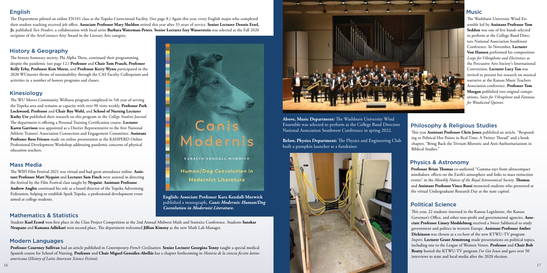The WU Moves Community Wellness program completed its 5th year of serving the Topeka area and remains at capacity with over 90 visits weekly. **Professor Park Lockwood, Professor** and **Chair Roy Wohl,** and **School of Nursing Lecturer Kathy Ure** published their research on this program in the *College Student Journal.* The department is offering a Personal Training Certification course. **Lecturer Karen Garrison** was appointed as a District Representative to the first National Athletic Trainers' Association Connection and Engagement Committee. **Assistant Professor Ross Friesen** made on online presentation at the KAHPERD Online Professional Development Workshop addressing pandemic concerns of physical education teachers.

The history honorary society, Phi Alpha Theta, continued their programming despite the pandemic (see page 12.) **Professor** and **Chair Tom Prasch, Professor Kelly Erby, Professor Kim Morse,** and **Professor Kerry Wynn** participated in the 2020 WUmester theme of sustainability through the CAS Faculty Colloquium and activities in a number of honors programs and classes.

The WIFI Film Festival 2021 was virtual and had great attendance online. **Assistant Professor Matt Nyquist** and **Lecturer Sam Finch** were assisted in directing the festival by the Film Festival class taught by **Nyquist**. **Assistant Professor Andrew Anglin** continued his role as a board director of the Topeka Advertising Federation, helping to establish Spark Topeka, a professional development event aimed at college students.

16 17 *americana* (*History of Latin American Science Fiction*). **Professor Courtney Sullivan** had an article published in *Contemporary French Civilization*. **Senior Lecturer Georgina Tenny** taught a special medical Spanish course for School of Nursing. **Professor** and **Chair Miguel González-Abellás** has a chapter forthcoming in *Historia de la ciencia ficción latino-*

# Cani

KARALYN KENDALL-MORWICK

Human/Dog Coevolution in **Modernist Literature** 

Student **Kael Ecord** won first place in the Class Project Competition at the 2nd Annual Midwest Math and Statistics Conference. Students **Sanskar Neupane** and **Kamana Adhikari** won second place. The department welcomed **Jillian Kimzey** as the new Math Lab Manager.

#### English

#### Kinesiology

#### History & Geography

### Mathematics & Statistics

The Department piloted an online EN101 class at the Topeka Correctional Facility. (See page 8.) Again this year, every English major who completed their student teaching received job offers. **Associate Professor Mary Sheldon** retired this year after 33 years of service. **Senior Lecturer Dennis Etzel, Jr.** published *Two Ponders*, a collaboration with local artist **Barbara Waterman-Peters**. **Senior Lecturer Izzy Wasserstein** was selected as the Fall 2020

recipient of the ArtsConnect Arty Award in the Literary Arts category.

This year **Assistant Professor Chris Jones** published an article, "Responding to Political Hot Points in Real Time: A Twitter Thread" and a book chapter, "Bring Back the Trivium Rhetoric and Anti-Authoritarianism in Biblical Studies."

#### Modern Languages

The Washburn University Wind Ensemble led by **Assistant Professor Tom Seddon** was one of five bands selected to perform at the College Band Directors National Association Southwest Conference. In November, **Lecturer Von Hansen** performed his composition *Loops for Vibraphone and Electronics* at the Percussive Arts Society's International Convention. **Lecturer Lucy Tan** was invited to present her research on musical narrative at the Kansas Music Teachers Association conference. **Professor Tom Morgan** published two original compositions, *Suite for Vibraphone* and *Fantasia for Woodwind Quintet*.

#### Music

#### Philosophy & Religious Studies

**Above, Music Department:** The Washburn University Wind Ensemble was selected to perform at the College Band Directors National Association Southwest Conference in spring 2022.

**Below, Physics Department:** The Physics and Engineering Club built a pumpkin launcher as a fundraiser.



**Professor Brian Thomas** co-authored "Gamma-rays from ultracompact minihaloes: effects on the Earth's atmosphere and links to mass extinction events" in the *Monthly Notices of the Royal Astronomical Society*. **Thomas** and **Assistant Professor Vince Rossi** mentored students who presented at the virtual Undergraduate Research Day at the state capitol.

#### Political Science

This year, 22 students interned in the Kansas Legislature, the Kansas Governor's Office, and other non-profit and governmental agencies. **Associate Professor Linsey Moddelmog** received a Sweet Sabbatical to study government and politics in western Europe. **Assistant Professor Amber Dickinson** was chosen as a co-host of the new KTWU-TV program *Inspire*. **Lecturer Grant Armstrong** made presentations on political topics, including one to the League of Women Voters. **Professor** and **Chair Bob Beatty** hosted the KTWU-TV program *I've Got Issues* and gave over 50 interviews to state and local media after the 2020 election.

**English: Associate Professor Kara Kendall-Morwick** published a monograph, *Canis Modernis: Human/Dog Coevolution in Modernist Literature.* 

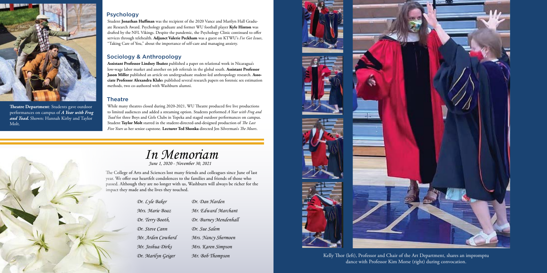#### Sociology & Anthropology

Student **Jonathan Huffman** was the recipient of the 2020 Vance and Marilyn Hall Graduate Research Award. Psychology graduate and former WU football player **Kyle Hinton** was drafted by the NFL Vikings. Despite the pandemic, the Psychology Clinic continued to offer services through telehealth. **Adjunct Valerie Peckham** was a guest on KTWU's *I've Got Issues*, "Taking Care of You," about the importance of self-care and managing anxiety.

**Assistant Professor Lindsey Ibañez** published a paper on relational work in Nicaragua's low-wage labor market and another on job referrals in the global south. **Assistant Professor Jason Miller** published an article on undergraduate student-led anthropology research. **Associate Professor Alexandra Klale**s published several research papers on forensic sex estimation methods, two co-authored with Washburn alumni.

#### **Theatre**

dance with Professor Kim Morse (right) during convocation. Kelly Thor (left), Professor and Chair of the Art Department, shares an impromptu



While many theatres closed during 2020-2021, WU Theatre produced five live productions to limited audiences and added a streaming option. Students performed *A Year with Frog and Toad* for three Boys and Girls Clubs in Topeka and staged outdoor performances on campus. Student **Taylor Molt** starred in the student-directed-and-designed production of *The Last Five Years* as her senior capstone. **Lecturer Ted Shonka** directed Jen Silverman's *The Moors*.



**Theatre Department**: Students gave outdoor performances on campus of *A Year with Frog and Toad.* Shown: Hannah Kirby and Taylor Molt.



The College of Arts and Sciences lost many friends and colleagues since June of last year. We offer our heartfelt condolences to the families and friends of those who passed. Although they are no longer with us, Washburn will always be richer for the impact they made and the lives they touched.

#### Psychology

*June 1, 2020 - November 30, 2021*

| Dr. Lyle Baker     | Dr. Dan Harden        |
|--------------------|-----------------------|
| Mrs. Marie Boaz    | Mr. Edward Marchant   |
| Dr. Terry Booth,   | Dr. Burney Mendenhall |
| Dr. Steve Cann     | Dr. Sue Salem         |
| Mr. Arden Cowherd  | Mrs. Nancy Shermoen   |
| Mr. Joshua Dirks   | Mrs. Karen Simpson    |
| Dr. Marilyn Geiger | Mr. Bob Thompson      |